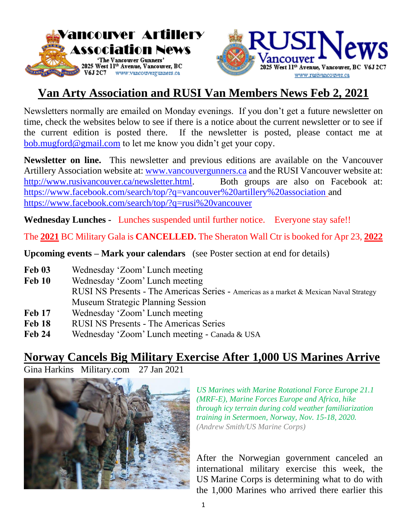



# **Van Arty Association and RUSI Van Members News Feb 2, 2021**

Newsletters normally are emailed on Monday evenings. If you don't get a future newsletter on time, check the websites below to see if there is a notice about the current newsletter or to see if the current edition is posted there. If the newsletter is posted, please contact me at [bob.mugford@gmail.com](mailto:bob.mugford@gmail.com) to let me know you didn't get your copy.

**Newsletter on line.** This newsletter and previous editions are available on the Vancouver Artillery Association website at: [www.vancouvergunners.ca](http://www.vancouvergunners.ca/) and the RUSI Vancouver website at: [http://www.rusivancouver.ca/newsletter.html.](http://www.rusivancouver.ca/newsletter.html) Both groups are also on Facebook at: <https://www.facebook.com/search/top/?q=vancouver%20artillery%20association> and <https://www.facebook.com/search/top/?q=rusi%20vancouver>

**Wednesday Lunches -** Lunches suspended until further notice. Everyone stay safe!!

The **2021** BC Military Gala is **CANCELLED.** The Sheraton Wall Ctr is booked for Apr 23, **2022**

**Upcoming events – Mark your calendars** (see Poster section at end for details)

- **Feb 03** Wednesday 'Zoom' Lunch meeting
- **Feb 10** Wednesday 'Zoom' Lunch meeting RUSI NS Presents - The Americas Series - Americas as a market & Mexican Naval Strategy Museum Strategic Planning Session
- **Feb 17** Wednesday 'Zoom' Lunch meeting
- **Feb 18** RUSI NS Presents The Americas Series
- **Feb 24** Wednesday 'Zoom' Lunch meeting Canada & USA

# **Norway Cancels Big Military Exercise After 1,000 US Marines Arrive**

Gina Harkins Military.com 27 Jan 2021



*US Marines with Marine Rotational Force Europe 21.1 (MRF-E), Marine Forces Europe and Africa, hike through icy terrain during cold weather familiarization training in Setermoen, Norway, Nov. 15-18, 2020. (Andrew Smith/US Marine Corps)*

After the Norwegian government canceled an international military exercise this week, the US Marine Corps is determining what to do with the 1,000 Marines who arrived there earlier this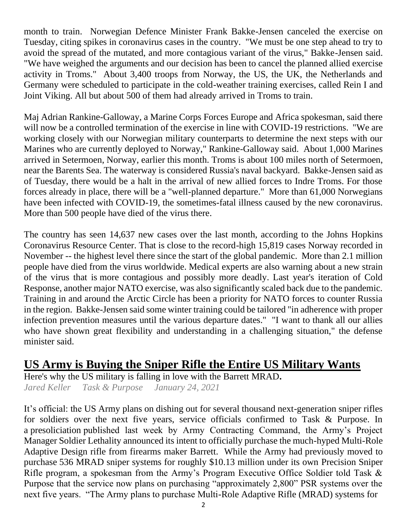month to train. Norwegian Defence Minister Frank Bakke-Jensen canceled the exercise on Tuesday, citing spikes in coronavirus cases in the country. "We must be one step ahead to try to avoid the spread of the mutated, and more contagious variant of the virus," Bakke-Jensen said. "We have weighed the arguments and our decision has been to cancel the planned allied exercise activity in Troms." About 3,400 troops from Norway, the US, the UK, the Netherlands and Germany were scheduled to participate in the cold-weather training exercises, called Rein I and Joint Viking. All but about 500 of them had already arrived in Troms to train.

Maj Adrian Rankine-Galloway, a Marine Corps Forces Europe and Africa spokesman, said there will now be a controlled termination of the exercise in line with COVID-19 restrictions. "We are working closely with our Norwegian military counterparts to determine the next steps with our Marines who are currently deployed to Norway," Rankine-Galloway said. About 1,000 Marines arrived in Setermoen, Norway, earlier this month. Troms is about 100 miles north of Setermoen, near the Barents Sea. The waterway is considered Russia's naval backyard. Bakke-Jensen said as of Tuesday, there would be a halt in the arrival of new allied forces to Indre Troms. For those forces already in place, there will be a "well-planned departure." More than 61,000 Norwegians have been infected with COVID-19, the sometimes-fatal illness caused by the new coronavirus. More than 500 people have died of the virus there.

The country has seen 14,637 new cases over the last month, according to the Johns Hopkins Coronavirus Resource Center. That is close to the record-high 15,819 cases Norway recorded in November -- the highest level there since the start of the global pandemic. More than 2.1 million people have died from the virus worldwide. Medical experts are also warning about a new strain of the virus that is more contagious and possibly more deadly. Last year's iteration of Cold Response, another major NATO exercise, was also significantly scaled back due to the pandemic. Training in and around the Arctic Circle has been a priority for NATO forces to counter Russia in the region. Bakke-Jensen said some winter training could be tailored "in adherence with proper infection prevention measures until the various departure dates." "I want to thank all our allies who have shown great flexibility and understanding in a challenging situation," the defense minister said.

# **US Army is Buying the Sniper Rifle the Entire US Military Wants**

Here's why the US military is falling in love with the Barrett MRAD**.** *Jared Keller Task & Purpose January 24, 2021*

It's official: the US Army plans on dishing out for several thousand next-generation sniper rifles for soldiers over the next five years, service officials confirmed to Task & Purpose. In a presoliciation published last week by Army Contracting Command, the Army's Project Manager Soldier Lethality announced its intent to officially purchase the much-hyped Multi-Role Adaptive Design rifle from firearms maker Barrett. While the Army had previously moved to purchase 536 MRAD sniper systems for roughly \$10.13 million under its own Precision Sniper Rifle program, a spokesman from the Army's Program Executive Office Soldier told Task & Purpose that the service now plans on purchasing "approximately 2,800" PSR systems over the next five years. "The Army plans to purchase Multi-Role Adaptive Rifle (MRAD) systems for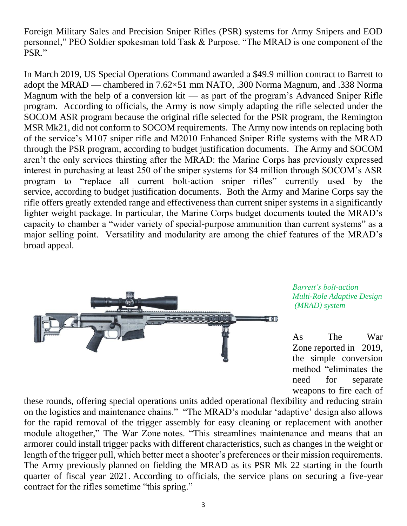Foreign Military Sales and Precision Sniper Rifles (PSR) systems for Army Snipers and EOD personnel," PEO Soldier spokesman told Task & Purpose. "The MRAD is one component of the PSR."

In March 2019, US Special Operations Command awarded a \$49.9 million contract to Barrett to adopt the MRAD — chambered in 7.62×51 mm NATO, .300 Norma Magnum, and .338 Norma Magnum with the help of a conversion kit — as part of the program's Advanced Sniper Rifle program. According to officials, the Army is now simply adapting the rifle selected under the SOCOM ASR program because the original rifle selected for the PSR program, the Remington MSR Mk21, did not conform to SOCOM requirements. The Army now intends on replacing both of the service's M107 sniper rifle and M2010 Enhanced Sniper Rifle systems with the MRAD through the PSR program, according to budget justification documents. The Army and SOCOM aren't the only services thirsting after the MRAD: the Marine Corps has previously expressed interest in purchasing at least 250 of the sniper systems for \$4 million through SOCOM's ASR program to "replace all current bolt-action sniper rifles" currently used by the service, according to budget justification documents. Both the Army and Marine Corps say the rifle offers greatly extended range and effectiveness than current sniper systems in a significantly lighter weight package. In particular, the Marine Corps budget documents touted the MRAD's capacity to chamber a "wider variety of special-purpose ammunition than current systems" as a major selling point. Versatility and modularity are among the chief features of the MRAD's broad appeal.



*Barrett's bolt-action Multi-Role Adaptive Design (MRAD) system*

As The War Zone reported in 2019, the simple conversion method "eliminates the need for separate weapons to fire each of

these rounds, offering special operations units added operational flexibility and reducing strain on the logistics and maintenance chains." "The MRAD's modular 'adaptive' design also allows for the rapid removal of the trigger assembly for easy cleaning or replacement with another module altogether," The War Zone notes. "This streamlines maintenance and means that an armorer could install trigger packs with different characteristics, such as changes in the weight or length of the trigger pull, which better meet a shooter's preferences or their mission requirements. The Army previously planned on fielding the MRAD as its PSR Mk 22 starting in the fourth quarter of fiscal year 2021. According to officials, the service plans on securing a five-year contract for the rifles sometime "this spring."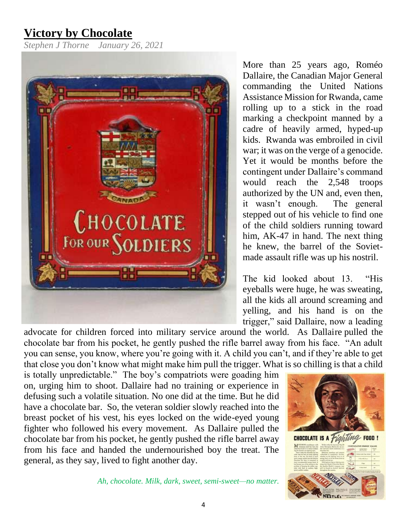# **Victory by Chocolate**

*Stephen J Thorne January 26, 2021* 



More than 25 years ago, Roméo Dallaire, the Canadian Major General commanding the United Nations Assistance Mission for Rwanda, came rolling up to a stick in the road marking a checkpoint manned by a cadre of heavily armed, hyped-up kids. Rwanda was embroiled in civil war; it was on the verge of a genocide. Yet it would be months before the contingent under Dallaire's command would reach the 2,548 troops authorized by the UN and, even then, it wasn't enough. The general stepped out of his vehicle to find one of the child soldiers running toward him, AK-47 in hand. The next thing he knew, the barrel of the Sovietmade assault rifle was up his nostril.

The kid looked about 13. "His eyeballs were huge, he was sweating, all the kids all around screaming and yelling, and his hand is on the trigger," said Dallaire, now a leading

advocate for children forced into military service around the world. As Dallaire pulled the chocolate bar from his pocket, he gently pushed the rifle barrel away from his face. "An adult you can sense, you know, where you're going with it. A child you can't, and if they're able to get that close you don't know what might make him pull the trigger. What is so chilling is that a child

is totally unpredictable." The boy's compatriots were goading him on, urging him to shoot. Dallaire had no training or experience in defusing such a volatile situation. No one did at the time. But he did have a chocolate bar. So, the veteran soldier slowly reached into the breast pocket of his vest, his eyes locked on the wide-eyed young fighter who followed his every movement. As Dallaire pulled the chocolate bar from his pocket, he gently pushed the rifle barrel away from his face and handed the undernourished boy the treat. The general, as they say, lived to fight another day.



*Ah, chocolate. Milk, dark, sweet, semi-sweet—no matter.* 

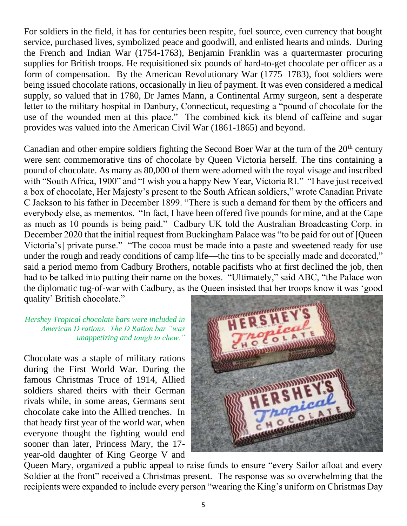For soldiers in the field, it has for centuries been respite, fuel source, even currency that bought service, purchased lives, symbolized peace and goodwill, and enlisted hearts and minds. During the French and Indian War (1754-1763), Benjamin Franklin was a quartermaster procuring supplies for British troops. He requisitioned six pounds of hard-to-get chocolate per officer as a form of compensation. By the American Revolutionary War (1775–1783), foot soldiers were being issued chocolate rations, occasionally in lieu of payment. It was even considered a medical supply, so valued that in 1780, Dr James Mann, a Continental Army surgeon, sent a desperate letter to the military hospital in Danbury, Connecticut, requesting a "pound of chocolate for the use of the wounded men at this place." The combined kick its blend of caffeine and sugar provides was valued into the American Civil War (1861-1865) and beyond.

Canadian and other empire soldiers fighting the Second Boer War at the turn of the  $20<sup>th</sup>$  century were sent commemorative tins of chocolate by Queen Victoria herself. The tins containing a pound of chocolate. As many as 80,000 of them were adorned with the royal visage and inscribed with "South Africa, 1900" and "I wish you a happy New Year, Victoria RI." "I have just received a box of chocolate, Her Majesty's present to the South African soldiers," wrote Canadian Private C Jackson to his father in December 1899. "There is such a demand for them by the officers and everybody else, as mementos. "In fact, I have been offered five pounds for mine, and at the Cape as much as 10 pounds is being paid." Cadbury UK told the Australian Broadcasting Corp. in December 2020 that the initial request from Buckingham Palace was "to be paid for out of [Queen Victoria's] private purse." "The cocoa must be made into a paste and sweetened ready for use under the rough and ready conditions of camp life—the tins to be specially made and decorated," said a period memo from Cadbury Brothers, notable pacifists who at first declined the job, then had to be talked into putting their name on the boxes. "Ultimately," said ABC, "the Palace won the diplomatic tug-of-war with Cadbury, as the Queen insisted that her troops know it was 'good quality' British chocolate."

#### *Hershey Tropical chocolate bars were included in American D rations. The D Ration bar "was unappetizing and tough to chew."*

Chocolate was a staple of military rations during the First World War. During the famous Christmas Truce of 1914, Allied soldiers shared theirs with their German rivals while, in some areas, Germans sent chocolate cake into the Allied trenches. In that heady first year of the world war, when everyone thought the fighting would end sooner than later, Princess Mary, the 17 year-old daughter of King George V and



Queen Mary, organized a public appeal to raise funds to ensure "every Sailor afloat and every Soldier at the front" received a Christmas present. The response was so overwhelming that the recipients were expanded to include every person "wearing the King's uniform on Christmas Day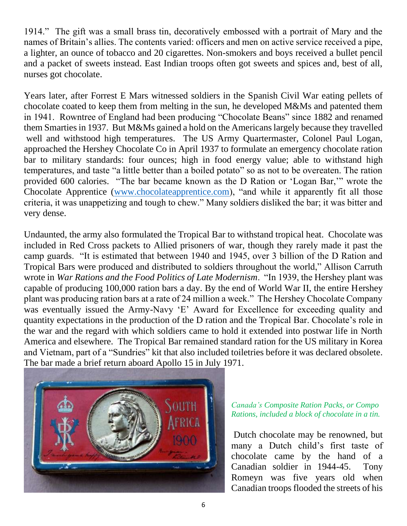1914." The gift was a small brass tin, decoratively embossed with a portrait of Mary and the names of Britain's allies. The contents varied: officers and men on active service received a pipe, a lighter, an ounce of tobacco and 20 cigarettes. Non-smokers and boys received a bullet pencil and a packet of sweets instead. East Indian troops often got sweets and spices and, best of all, nurses got chocolate.

Years later, after Forrest E Mars witnessed soldiers in the Spanish Civil War eating pellets of chocolate coated to keep them from melting in the sun, he developed M&Ms and patented them in 1941. Rowntree of England had been producing "Chocolate Beans" since 1882 and renamed them Smarties in 1937. But M&Ms gained a hold on the Americans largely because they travelled well and withstood high temperatures. The US Army Quartermaster, Colonel Paul Logan, approached the Hershey Chocolate Co in April 1937 to formulate an emergency chocolate ration bar to military standards: four ounces; high in food energy value; able to withstand high temperatures, and taste "a little better than a boiled potato" so as not to be overeaten. The ration provided 600 calories. "The bar became known as the D Ration or 'Logan Bar,'" wrote the Chocolate Apprentice [\(www.chocolateapprentice.com\)](http://www.chocolateapprentice.com/), "and while it apparently fit all those criteria, it was unappetizing and tough to chew." Many soldiers disliked the bar; it was bitter and very dense.

Undaunted, the army also formulated the Tropical Bar to withstand tropical heat. Chocolate was included in Red Cross packets to Allied prisoners of war, though they rarely made it past the camp guards. "It is estimated that between 1940 and 1945, over 3 billion of the D Ration and Tropical Bars were produced and distributed to soldiers throughout the world," Allison Carruth wrote in *War Rations and the Food Politics of Late Modernism*. "In 1939, the Hershey plant was capable of producing 100,000 ration bars a day. By the end of World War II, the entire Hershey plant was producing ration bars at a rate of 24 million a week." The Hershey Chocolate Company was eventually issued the Army-Navy 'E' Award for Excellence for exceeding quality and quantity expectations in the production of the D ration and the Tropical Bar. Chocolate's role in the war and the regard with which soldiers came to hold it extended into postwar life in North America and elsewhere. The Tropical Bar remained standard ration for the US military in Korea and Vietnam, part of a "Sundries" kit that also included toiletries before it was declared obsolete. The bar made a brief return aboard Apollo 15 in July 1971.



#### *Canada's Composite Ration Packs, or Compo Rations, included a block of chocolate in a tin.*

Dutch chocolate may be renowned, but many a Dutch child's first taste of chocolate came by the hand of a Canadian soldier in 1944-45. Tony Romeyn was five years old when Canadian troops flooded the streets of his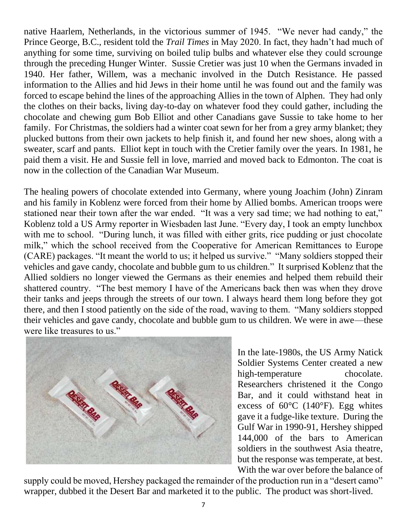native Haarlem, Netherlands, in the victorious summer of 1945. "We never had candy," the Prince George, B.C., resident told the *Trail Times* in May 2020. In fact, they hadn't had much of anything for some time, surviving on boiled tulip bulbs and whatever else they could scrounge through the preceding Hunger Winter. Sussie Cretier was just 10 when the Germans invaded in 1940. Her father, Willem, was a mechanic involved in the Dutch Resistance. He passed information to the Allies and hid Jews in their home until he was found out and the family was forced to escape behind the lines of the approaching Allies in the town of Alphen. They had only the clothes on their backs, living day-to-day on whatever food they could gather, including the chocolate and chewing gum Bob Elliot and other Canadians gave Sussie to take home to her family. For Christmas, the soldiers had a winter coat sewn for her from a grey army blanket; they plucked buttons from their own jackets to help finish it, and found her new shoes, along with a sweater, scarf and pants. Elliot kept in touch with the Cretier family over the years. In 1981, he paid them a visit. He and Sussie fell in love, married and moved back to Edmonton. The coat is now in the collection of the Canadian War Museum.

The healing powers of chocolate extended into Germany, where young Joachim (John) Zinram and his family in Koblenz were forced from their home by Allied bombs. American troops were stationed near their town after the war ended. "It was a very sad time; we had nothing to eat," Koblenz told a US Army reporter in Wiesbaden last June. "Every day, I took an empty lunchbox with me to school. "During lunch, it was filled with either grits, rice pudding or just chocolate milk," which the school received from the Cooperative for American Remittances to Europe (CARE) packages. "It meant the world to us; it helped us survive." "Many soldiers stopped their vehicles and gave candy, chocolate and bubble gum to us children." It surprised Koblenz that the Allied soldiers no longer viewed the Germans as their enemies and helped them rebuild their shattered country. "The best memory I have of the Americans back then was when they drove their tanks and jeeps through the streets of our town. I always heard them long before they got there, and then I stood patiently on the side of the road, waving to them. "Many soldiers stopped their vehicles and gave candy, chocolate and bubble gum to us children. We were in awe—these were like treasures to us."



In the late-1980s, the US Army Natick Soldier Systems Center created a new high-temperature chocolate. Researchers christened it the Congo Bar, and it could withstand heat in excess of  $60^{\circ}$ C (140 $^{\circ}$ F). Egg whites gave it a fudge-like texture. During the Gulf War in 1990-91, Hershey shipped 144,000 of the bars to American soldiers in the southwest Asia theatre, but the response was temperate, at best. With the war over before the balance of

supply could be moved, Hershey packaged the remainder of the production run in a "desert camo" wrapper, dubbed it the Desert Bar and marketed it to the public. The product was short-lived.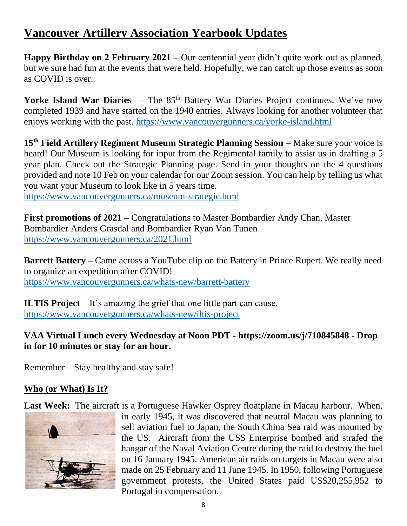# **Vancouver Artillery Association Yearbook Updates**

**Happy Birthday on 2 February 2021 –** Our centennial year didn't quite work out as planned, but we sure had fun at the events that were held. Hopefully, we can catch up those events as soon as COVID is over.

**Yorke Island War Diaries –** The 85<sup>th</sup> Battery War Diaries Project continues. We've now completed 1939 and have started on the 1940 entries. Always looking for another volunteer that enjoys working with the past.<https://www.vancouvergunners.ca/yorke-island.html>

**15th Field Artillery Regiment Museum Strategic Planning Session** – Make sure your voice is heard! Our Museum is looking for input from the Regimental family to assist us in drafting a 5 year plan. Check out the Strategic Planning page. Send in your thoughts on the 4 questions provided and note 10 Feb on your calendar for our Zoom session. You can help by telling us what you want your Museum to look like in 5 years time.

<https://www.vancouvergunners.ca/museum-strategic.html>

**First promotions of 2021 –** Congratulations to Master Bombardier Andy Chan, Master Bombardier Anders Grasdal and Bombardier Ryan Van Tunen <https://www.vancouvergunners.ca/2021.html>

**Barrett Battery –** Came across a YouTube clip on the Battery in Prince Rupert. We really need to organize an expedition after COVID! <https://www.vancouvergunners.ca/whats-new/barrett-battery>

**ILTIS Project** – It's amazing the grief that one little part can cause. <https://www.vancouvergunners.ca/whats-new/iltis-project>

## **VAA Virtual Lunch every Wednesday at Noon PDT - https://zoom.us/j/710845848 - Drop in for 10 minutes or stay for an hour.**

Remember – Stay healthy and stay safe!

## **Who (or What) Is It?**

Last Week: The aircraft is a Portuguese Hawker Osprey floatplane in Macau harbour. When,



in early 1945, it was discovered that neutral Macau was planning to sell aviation fuel to Japan, the South China Sea raid was mounted by the US. Aircraft from the USS Enterprise bombed and strafed the hangar of the Naval Aviation Centre during the raid to destroy the fuel on 16 January 1945. American air raids on targets in Macau were also made on 25 February and 11 June 1945. In 1950, following Portuguese government protests, the United States paid US\$20,255,952 to Portugal in compensation.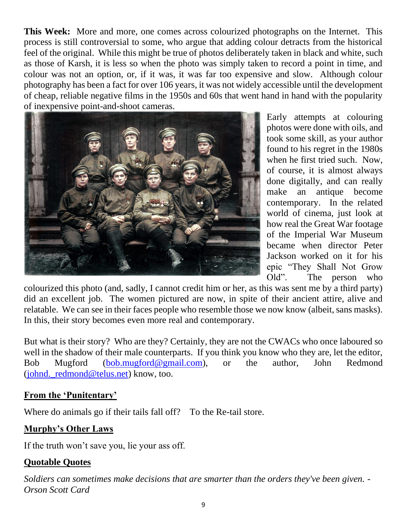**This Week:** More and more, one comes across colourized photographs on the Internet. This process is still controversial to some, who argue that adding colour detracts from the historical feel of the original. While this might be true of photos deliberately taken in black and white, such as those of Karsh, it is less so when the photo was simply taken to record a point in time, and colour was not an option, or, if it was, it was far too expensive and slow. Although colour photography has been a fact for over 106 years, it was not widely accessible until the development of cheap, reliable negative films in the 1950s and 60s that went hand in hand with the popularity of inexpensive point-and-shoot cameras.



Early attempts at colouring photos were done with oils, and took some skill, as your author found to his regret in the 1980s when he first tried such. Now, of course, it is almost always done digitally, and can really make an antique become contemporary. In the related world of cinema, just look at how real the Great War footage of the Imperial War Museum became when director Peter Jackson worked on it for his epic "They Shall Not Grow Old". The person who

colourized this photo (and, sadly, I cannot credit him or her, as this was sent me by a third party) did an excellent job. The women pictured are now, in spite of their ancient attire, alive and relatable. We can see in their faces people who resemble those we now know (albeit, sans masks). In this, their story becomes even more real and contemporary.

But what is their story? Who are they? Certainly, they are not the CWACs who once laboured so well in the shadow of their male counterparts. If you think you know who they are, let the editor, Bob Mugford [\(bob.mugford@gmail.com\)](mailto:bob.mugford@gmail.com), or the author, John Redmond (johnd. redmond@telus.net) know, too.

## **From the 'Punitentary'**

Where do animals go if their tails fall off? To the Re-tail store.

## **Murphy's Other Laws**

If the truth won't save you, lie your ass off.

## **Quotable Quotes**

*Soldiers can sometimes make decisions that are smarter than the orders they've been given. - Orson Scott Card*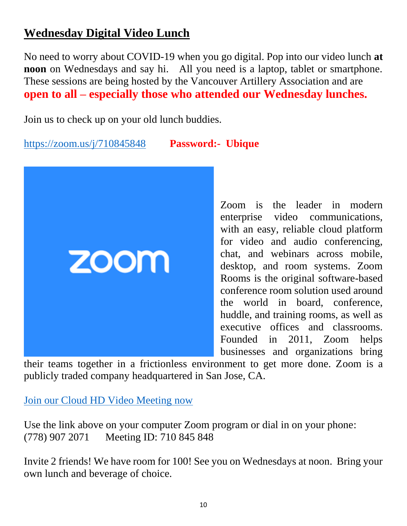# **Wednesday Digital Video Lunch**

No need to worry about COVID-19 when you go digital. Pop into our video lunch **at noon** on Wednesdays and say hi. All you need is a laptop, tablet or smartphone. These sessions are being hosted by the Vancouver Artillery Association and are **open to all – especially those who attended our Wednesday lunches.** 

Join us to check up on your old lunch buddies.

<https://zoom.us/j/710845848>**Password:- Ubique**



Zoom is the leader in modern enterprise video communications, with an easy, reliable cloud platform for video and audio conferencing, chat, and webinars across mobile, desktop, and room systems. Zoom Rooms is the original software-based conference room solution used around the world in board, conference, huddle, and training rooms, as well as executive offices and classrooms. Founded in 2011, Zoom helps businesses and organizations bring

their teams together in a frictionless environment to get more done. Zoom is a publicly traded company headquartered in San Jose, CA.

[Join our Cloud HD Video Meeting now](https://zoom.us/j/710845848)

Use the link above on your computer Zoom program or dial in on your phone: (778) 907 2071 Meeting ID: 710 845 848

Invite 2 friends! We have room for 100! See you on Wednesdays at noon. Bring your own lunch and beverage of choice.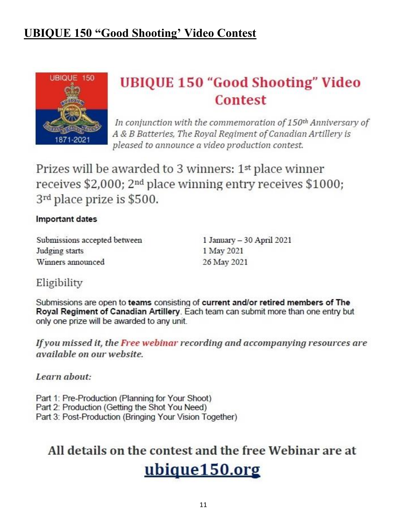# **UBIQUE 150 "Good Shooting' Video Contest**



# **UBIQUE 150 "Good Shooting" Video Contest**

In conjunction with the commemoration of 150<sup>th</sup> Anniversary of A & B Batteries, The Royal Regiment of Canadian Artillery is pleased to announce a video production contest.

Prizes will be awarded to 3 winners: 1<sup>st</sup> place winner receives  $$2,000$ ;  $2<sup>nd</sup>$  place winning entry receives  $$1000$ ; 3rd place prize is \$500.

#### Important dates

Submissions accepted between Judging starts Winners announced

1 January - 30 April 2021 1 May 2021 26 May 2021

# Eligibility

Submissions are open to teams consisting of current and/or retired members of The Royal Regiment of Canadian Artillery. Each team can submit more than one entry but only one prize will be awarded to any unit.

If you missed it, the Free webinar recording and accompanying resources are *available on our website.* 

Learn about:

Part 1: Pre-Production (Planning for Your Shoot) Part 2: Production (Getting the Shot You Need)

Part 3: Post-Production (Bringing Your Vision Together)

# All details on the contest and the free Webinar are at

# ubique150.org